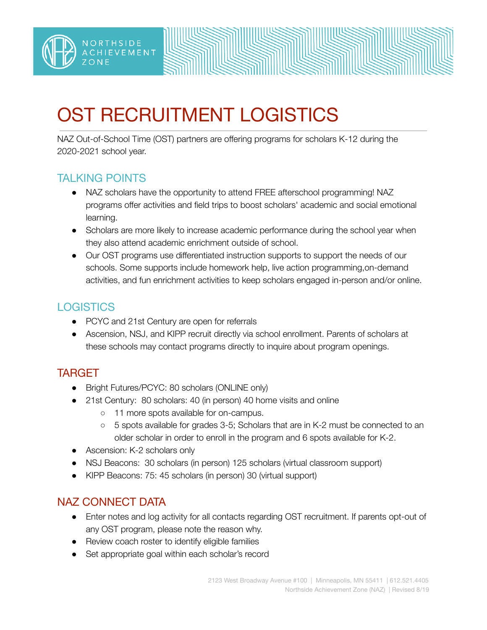

# OST RECRUITMENT LOGISTICS

NAZ Out-of-School Time (OST) partners are offering programs for scholars K-12 during the 2020-2021 school year.

### TALKING POINTS

- NAZ scholars have the opportunity to attend FREE afterschool programming! NAZ programs offer activities and field trips to boost scholars' academic and social emotional learning.
- Scholars are more likely to increase academic performance during the school year when they also attend academic enrichment outside of school.
- Our OST programs use differentiated instruction supports to support the needs of our schools. Some supports include homework help, live action programming,on-demand activities, and fun enrichment activities to keep scholars engaged in-person and/or online.

## **LOGISTICS**

- PCYC and 21st Century are open for referrals
- Ascension, NSJ, and KIPP recruit directly via school enrollment. Parents of scholars at these schools may contact programs directly to inquire about program openings.

## TARGET

- Bright Futures/PCYC: 80 scholars (ONLINE only)
- 21st Century: 80 scholars: 40 (in person) 40 home visits and online
	- 11 more spots available for on-campus.
	- 5 spots available for grades 3-5; Scholars that are in K-2 must be connected to an older scholar in order to enroll in the program and 6 spots available for K-2.
- Ascension: K-2 scholars only
- NSJ Beacons: 30 scholars (in person) 125 scholars (virtual classroom support)
- KIPP Beacons: 75: 45 scholars (in person) 30 (virtual support)

### NAZ CONNECT DATA

- Enter notes and log activity for all contacts regarding OST recruitment. If parents opt-out of any OST program, please note the reason why.
- Review coach roster to identify eligible families
- Set appropriate goal within each scholar's record